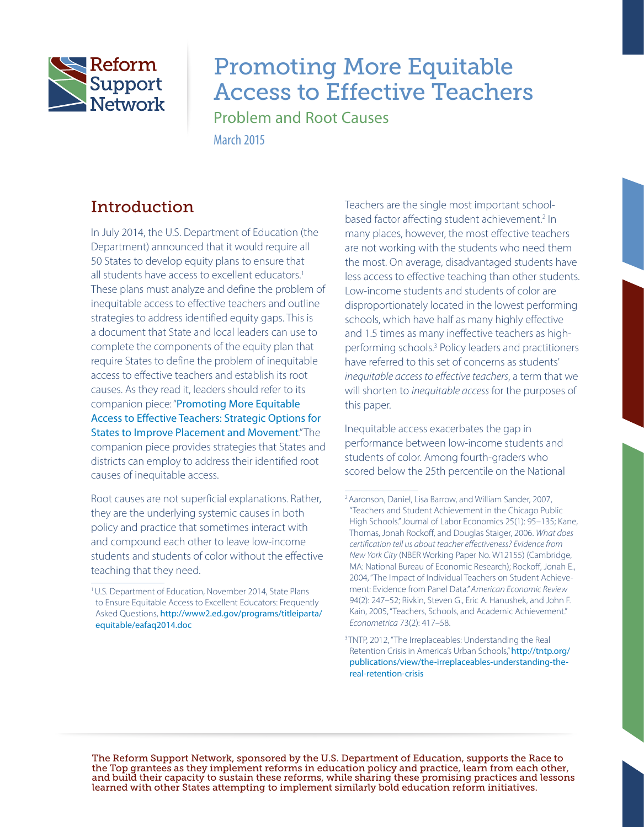

# Promoting More Equitable Access to Effective Teachers

Problem and Root Causes

March 2015

# **Introduction**

In July 2014, the U.S. Department of Education (the Department) announced that it would require all 50 States to develop equity plans to ensure that all students have access to excellent educators.<sup>1</sup> These plans must analyze and define the problem of inequitable access to effective teachers and outline strategies to address identified equity gaps. This is a document that State and local leaders can use to complete the components of the equity plan that require States to define the problem of inequitable access to effective teachers and establish its root causes. As they read it, leaders should refer to its companion piece: "[Promoting More Equitable](https://rtt.grads360.org/#communities/pdc/documents/7233)  [Access to Effective Teachers: Strategic Options for](https://rtt.grads360.org/#communities/pdc/documents/7233)  [States to Improve Placement and Movement](https://rtt.grads360.org/#communities/pdc/documents/7233)." The companion piece provides strategies that States and districts can employ to address their identified root causes of inequitable access.

Root causes are not superficial explanations. Rather, they are the underlying systemic causes in both policy and practice that sometimes interact with and compound each other to leave low-income students and students of color without the effective teaching that they need.

Teachers are the single most important schoolbased factor affecting student achievement.<sup>2</sup> In many places, however, the most effective teachers are not working with the students who need them the most. On average, disadvantaged students have less access to effective teaching than other students. Low-income students and students of color are disproportionately located in the lowest performing schools, which have half as many highly effective and 1.5 times as many ineffective teachers as highperforming schools.3 Policy leaders and practitioners have referred to this set of concerns as students' inequitable access to effective teachers, a term that we will shorten to *inequitable access* for the purposes of this paper.

Inequitable access exacerbates the gap in performance between low-income students and students of color. Among fourth-graders who scored below the 25th percentile on the National

The Reform Support Network, sponsored by the U.S. Department of Education, supports the Race to the Top grantees as they implement reforms in education policy and practice, learn from each other, and build their capacity to sustain these reforms, while sharing these promising practices and lessons learned with other States attempting to implement similarly bold education reform initiatives.

<sup>1</sup> U.S. Department of Education, November 2014, State Plans to Ensure Equitable Access to Excellent Educators: Frequently Asked Questions, [http://www2.ed.gov/programs/titleiparta/](http://www2.ed.gov/programs/titleiparta/equitable/eafaq2014.doc) [equitable/eafaq2014.doc](http://www2.ed.gov/programs/titleiparta/equitable/eafaq2014.doc) 

<sup>2</sup> Aaronson, Daniel, Lisa Barrow, and William Sander, 2007, "Teachers and Student Achievement in the Chicago Public High Schools." Journal of Labor Economics 25(1): 95–135; Kane, Thomas, Jonah Rockoff, and Douglas Staiger, 2006. What does certification tell us about teacher effectiveness? Evidence from New York City (NBER Working Paper No. W12155) (Cambridge, MA: National Bureau of Economic Research); Rockoff, Jonah E., 2004, "The Impact of Individual Teachers on Student Achievement: Evidence from Panel Data." American Economic Review 94(2): 247–52; Rivkin, Steven G., Eric A. Hanushek, and John F. Kain, 2005, "Teachers, Schools, and Academic Achievement." Econometrica 73(2): 417–58.

<sup>&</sup>lt;sup>3</sup>TNTP, 2012, "The Irreplaceables: Understanding the Real Retention Crisis in America's Urban Schools," [http://tntp.org/](http://tntp.org/publications/view/the-irreplaceables-understanding-the-real-retention-crisis)  [publications/view/the-irreplaceables-understanding-the](http://tntp.org/publications/view/the-irreplaceables-understanding-the-real-retention-crisis)[real-retention-crisis](http://tntp.org/publications/view/the-irreplaceables-understanding-the-real-retention-crisis)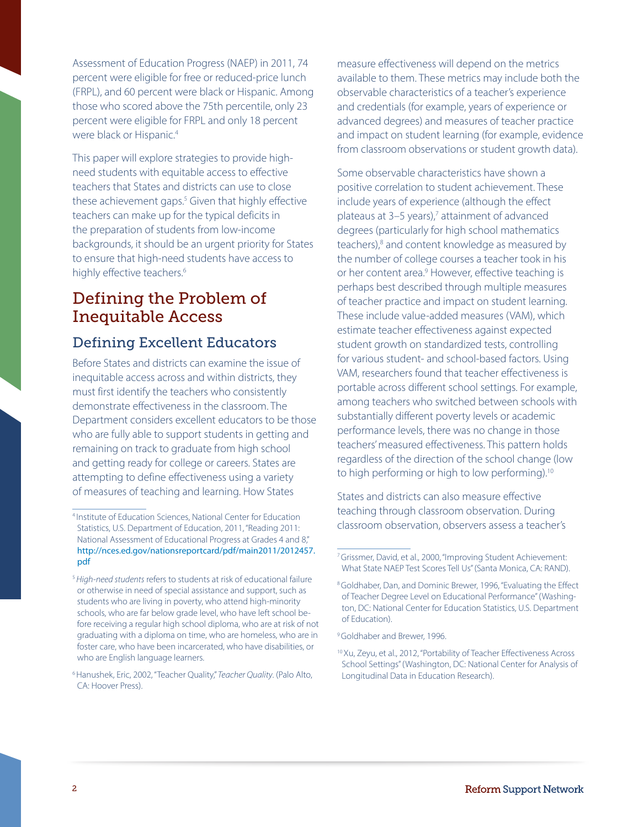Assessment of Education Progress (NAEP) in 2011, 74 percent were eligible for free or reduced-price lunch (FRPL), and 60 percent were black or Hispanic. Among those who scored above the 75th percentile, only 23 percent were eligible for FRPL and only 18 percent were black or Hispanic.<sup>4</sup>

This paper will explore strategies to provide highneed students with equitable access to effective teachers that States and districts can use to close these achievement gaps.<sup>5</sup> Given that highly effective teachers can make up for the typical deficits in the preparation of students from low-income backgrounds, it should be an urgent priority for States to ensure that high-need students have access to highly effective teachers.<sup>6</sup>

## Defining the Problem of Inequitable Access

#### Defining Excellent Educators

Before States and districts can examine the issue of inequitable access across and within districts, they must first identify the teachers who consistently demonstrate effectiveness in the classroom. The Department considers excellent educators to be those who are fully able to support students in getting and remaining on track to graduate from high school and getting ready for college or careers. States are attempting to define effectiveness using a variety of measures of teaching and learning. How States

measure effectiveness will depend on the metrics available to them. These metrics may include both the observable characteristics of a teacher's experience and credentials (for example, years of experience or advanced degrees) and measures of teacher practice and impact on student learning (for example, evidence from classroom observations or student growth data).

Some observable characteristics have shown a positive correlation to student achievement. These include years of experience (although the effect plateaus at 3-5 years),<sup>7</sup> attainment of advanced degrees (particularly for high school mathematics teachers),<sup>8</sup> and content knowledge as measured by the number of college courses a teacher took in his or her content area.<sup>9</sup> However, effective teaching is perhaps best described through multiple measures of teacher practice and impact on student learning. These include value-added measures (VAM), which estimate teacher effectiveness against expected student growth on standardized tests, controlling for various student- and school-based factors. Using VAM, researchers found that teacher effectiveness is portable across different school settings. For example, among teachers who switched between schools with substantially different poverty levels or academic performance levels, there was no change in those teachers' measured effectiveness. This pattern holds regardless of the direction of the school change (low to high performing or high to low performing).10

States and districts can also measure effective teaching through classroom observation. During classroom observation, observers assess a teacher's

<sup>4</sup> Institute of Education Sciences, National Center for Education Statistics, U.S. Department of Education, 2011, "Reading 2011: National Assessment of Educational Progress at Grades 4 and 8," [http://nces.ed.gov/nationsreportcard/pdf/main2011/2012457.](http://nces.ed.gov/nationsreportcard/pdf/main2011/2012457.pdf) [pdf](http://nces.ed.gov/nationsreportcard/pdf/main2011/2012457.pdf)

<sup>&</sup>lt;sup>5</sup> High-need students refers to students at risk of educational failure or otherwise in need of special assistance and support, such as students who are living in poverty, who attend high-minority schools, who are far below grade level, who have left school before receiving a regular high school diploma, who are at risk of not graduating with a diploma on time, who are homeless, who are in foster care, who have been incarcerated, who have disabilities, or who are English language learners.

<sup>&</sup>lt;sup>6</sup> Hanushek, Eric, 2002, "Teacher Quality," Teacher Quality. (Palo Alto, CA: Hoover Press).

<sup>7</sup> Grissmer, David, et al., 2000, "Improving Student Achievement: What State NAEP Test Scores Tell Us" (Santa Monica, CA: RAND).

<sup>8</sup> Goldhaber, Dan, and Dominic Brewer, 1996, "Evaluating the Effect of Teacher Degree Level on Educational Performance" (Washington, DC: National Center for Education Statistics, U.S. Department of Education).

<sup>&</sup>lt;sup>9</sup> Goldhaber and Brewer, 1996.

<sup>10</sup> Xu, Zeyu, et al., 2012, "Portability of Teacher Effectiveness Across School Settings" (Washington, DC: National Center for Analysis of Longitudinal Data in Education Research).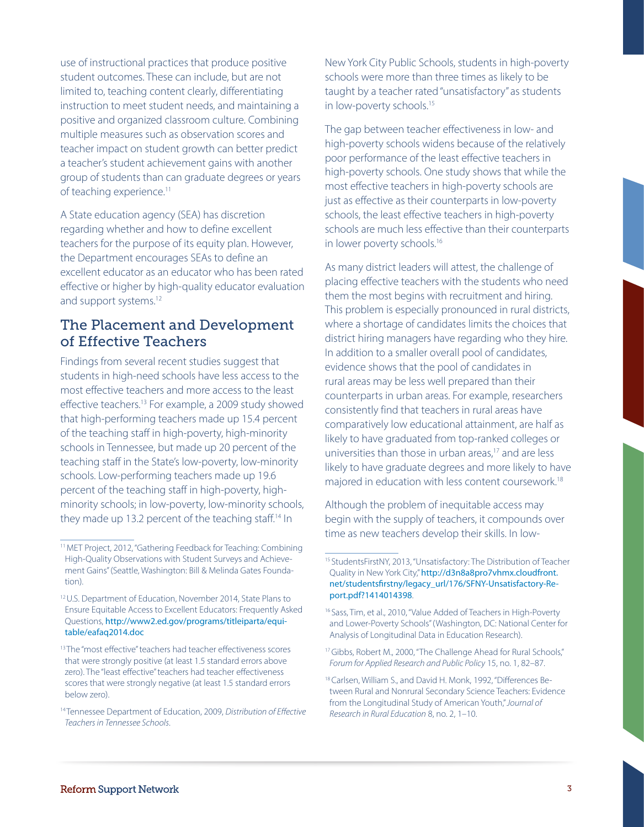use of instructional practices that produce positive student outcomes. These can include, but are not limited to, teaching content clearly, differentiating instruction to meet student needs, and maintaining a positive and organized classroom culture. Combining multiple measures such as observation scores and teacher impact on student growth can better predict a teacher's student achievement gains with another group of students than can graduate degrees or years of teaching experience.<sup>11</sup>

A State education agency (SEA) has discretion regarding whether and how to define excellent teachers for the purpose of its equity plan. However, the Department encourages SEAs to define an excellent educator as an educator who has been rated effective or higher by high-quality educator evaluation and support systems.<sup>12</sup>

#### The Placement and Development of Effective Teachers

Findings from several recent studies suggest that students in high-need schools have less access to the most effective teachers and more access to the least effective teachers.<sup>13</sup> For example, a 2009 study showed that high-performing teachers made up 15.4 percent of the teaching staff in high-poverty, high-minority schools in Tennessee, but made up 20 percent of the teaching staff in the State's low-poverty, low-minority schools. Low-performing teachers made up 19.6 percent of the teaching staff in high-poverty, highminority schools; in low-poverty, low-minority schools, they made up 13.2 percent of the teaching staff.<sup>14</sup> In

New York City Public Schools, students in high-poverty schools were more than three times as likely to be taught by a teacher rated "unsatisfactory" as students in low-poverty schools.<sup>15</sup>

The gap between teacher effectiveness in low- and high-poverty schools widens because of the relatively poor performance of the least effective teachers in high-poverty schools. One study shows that while the most effective teachers in high-poverty schools are just as effective as their counterparts in low-poverty schools, the least effective teachers in high-poverty schools are much less effective than their counterparts in lower poverty schools.<sup>16</sup>

As many district leaders will attest, the challenge of placing effective teachers with the students who need them the most begins with recruitment and hiring. This problem is especially pronounced in rural districts, where a shortage of candidates limits the choices that district hiring managers have regarding who they hire. In addition to a smaller overall pool of candidates, evidence shows that the pool of candidates in rural areas may be less well prepared than their counterparts in urban areas. For example, researchers consistently find that teachers in rural areas have comparatively low educational attainment, are half as likely to have graduated from top-ranked colleges or universities than those in urban areas,<sup>17</sup> and are less likely to have graduate degrees and more likely to have majored in education with less content coursework.18

Although the problem of inequitable access may begin with the supply of teachers, it compounds over time as new teachers develop their skills. In low-

<sup>11</sup> MET Project, 2012, "Gathering Feedback for Teaching: Combining High-Quality Observations with Student Surveys and Achievement Gains" (Seattle, Washington: Bill & Melinda Gates Foundation).

<sup>12</sup> U.S. Department of Education, November 2014, State Plans to Ensure Equitable Access to Excellent Educators: Frequently Asked Questions, [http://www2.ed.gov/programs/titleiparta/equi](http://www2.ed.gov/programs/titleiparta/equitable/eafaq2014.doc)[table/eafaq2014.doc](http://www2.ed.gov/programs/titleiparta/equitable/eafaq2014.doc) 

<sup>&</sup>lt;sup>13</sup> The "most effective" teachers had teacher effectiveness scores that were strongly positive (at least 1.5 standard errors above zero). The "least effective" teachers had teacher effectiveness scores that were strongly negative (at least 1.5 standard errors below zero).

<sup>&</sup>lt;sup>14</sup> Tennessee Department of Education, 2009, Distribution of Effective Teachers in Tennessee Schools.

Quality in New York City," [http://d3n8a8pro7vhmx.cloudfront.](http://d3n8a8pro7vhmx.cloudfront.net/studentsfirstny/legacy_url/176/SFNY-Unsatisfactory-Report.pdf?1414014398) 15 StudentsFirstNY, 2013, "Unsatisfactory: The Distribution of Teacher [net/studentsfirstny/legacy\\_url/176/SFNY-Unsatisfactory-Re](http://d3n8a8pro7vhmx.cloudfront.net/studentsfirstny/legacy_url/176/SFNY-Unsatisfactory-Report.pdf?1414014398)[port.pdf?1414014398](http://d3n8a8pro7vhmx.cloudfront.net/studentsfirstny/legacy_url/176/SFNY-Unsatisfactory-Report.pdf?1414014398).

<sup>&</sup>lt;sup>16</sup> Sass, Tim, et al., 2010, "Value Added of Teachers in High-Poverty and Lower-Poverty Schools" (Washington, DC: National Center for Analysis of Longitudinal Data in Education Research).

<sup>&</sup>lt;sup>17</sup> Gibbs, Robert M., 2000, "The Challenge Ahead for Rural Schools," Forum for Applied Research and Public Policy 15, no. 1, 82–87.

<sup>&</sup>lt;sup>18</sup> Carlsen, William S., and David H. Monk, 1992, "Differences Between Rural and Nonrural Secondary Science Teachers: Evidence from the Longitudinal Study of American Youth," Journal of Research in Rural Education 8, no. 2, 1–10.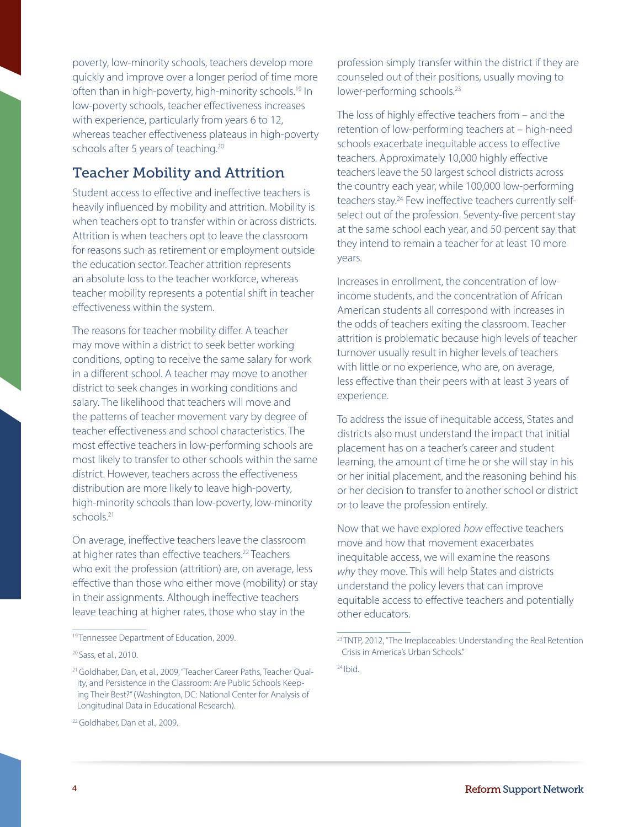poverty, low-minority schools, teachers develop more quickly and improve over a longer period of time more often than in high-poverty, high-minority schools.<sup>19</sup> In low-poverty schools, teacher effectiveness increases with experience, particularly from years 6 to 12, whereas teacher effectiveness plateaus in high-poverty schools after 5 years of teaching.<sup>20</sup>

#### Teacher Mobility and Attrition

Student access to effective and ineffective teachers is heavily influenced by mobility and attrition. Mobility is when teachers opt to transfer within or across districts. Attrition is when teachers opt to leave the classroom for reasons such as retirement or employment outside the education sector. Teacher attrition represents an absolute loss to the teacher workforce, whereas teacher mobility represents a potential shift in teacher effectiveness within the system.

The reasons for teacher mobility differ. A teacher may move within a district to seek better working conditions, opting to receive the same salary for work in a different school. A teacher may move to another district to seek changes in working conditions and salary. The likelihood that teachers will move and the patterns of teacher movement vary by degree of teacher effectiveness and school characteristics. The most effective teachers in low-performing schools are most likely to transfer to other schools within the same district. However, teachers across the effectiveness distribution are more likely to leave high-poverty, high-minority schools than low-poverty, low-minority schools.21

On average, ineffective teachers leave the classroom at higher rates than effective teachers.<sup>22</sup> Teachers who exit the profession (attrition) are, on average, less effective than those who either move (mobility) or stay in their assignments. Although ineffective teachers leave teaching at higher rates, those who stay in the

profession simply transfer within the district if they are counseled out of their positions, usually moving to lower-performing schools.<sup>23</sup>

The loss of highly effective teachers from – and the retention of low-performing teachers at – high-need schools exacerbate inequitable access to effective teachers. Approximately 10,000 highly effective teachers leave the 50 largest school districts across the country each year, while 100,000 low-performing teachers stay.<sup>24</sup> Few ineffective teachers currently selfselect out of the profession. Seventy-five percent stay at the same school each year, and 50 percent say that they intend to remain a teacher for at least 10 more years.

Increases in enrollment, the concentration of lowincome students, and the concentration of African American students all correspond with increases in the odds of teachers exiting the classroom. Teacher attrition is problematic because high levels of teacher turnover usually result in higher levels of teachers with little or no experience, who are, on average, less effective than their peers with at least 3 years of experience.

To address the issue of inequitable access, States and districts also must understand the impact that initial placement has on a teacher's career and student learning, the amount of time he or she will stay in his or her initial placement, and the reasoning behind his or her decision to transfer to another school or district or to leave the profession entirely.

Now that we have explored how effective teachers move and how that movement exacerbates inequitable access, we will examine the reasons why they move. This will help States and districts understand the policy levers that can improve equitable access to effective teachers and potentially other educators.

 $24$  Ibid.

<sup>&</sup>lt;sup>19</sup> Tennessee Department of Education, 2009.

<sup>20</sup> Sass, et al., 2010.

<sup>21</sup> Goldhaber, Dan, et al., 2009, "Teacher Career Paths, Teacher Quality, and Persistence in the Classroom: Are Public Schools Keeping Their Best?" (Washington, DC: National Center for Analysis of Longitudinal Data in Educational Research).

<sup>&</sup>lt;sup>22</sup> Goldhaber, Dan et al., 2009.

<sup>&</sup>lt;sup>23</sup> TNTP, 2012, "The Irreplaceables: Understanding the Real Retention Crisis in America's Urban Schools."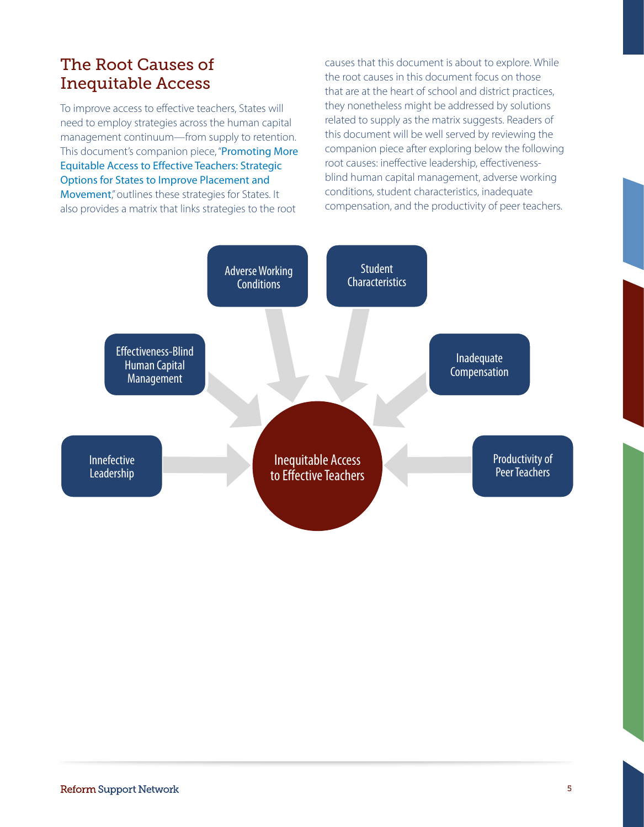# The Root Causes of Inequitable Access

To improve access to effective teachers, States will need to employ strategies across the human capital management continuum—from supply to retention. This document's companion piece, "Promoting More [Equitable Access to Effective Teachers: Strategic](https://rtt.grads360.org/#communities/pdc/documents/7233)  [Options for States to Improve Placement and](https://rtt.grads360.org/#communities/pdc/documents/7233)  [Movement](https://rtt.grads360.org/#communities/pdc/documents/7233)," outlines these strategies for States. It also provides a matrix that links strategies to the root

causes that this document is about to explore. While the root causes in this document focus on those that are at the heart of school and district practices, they nonetheless might be addressed by solutions related to supply as the matrix suggests. Readers of this document will be well served by reviewing the companion piece after exploring below the following root causes: ineffective leadership, effectivenessblind human capital management, adverse working conditions, student characteristics, inadequate compensation, and the productivity of peer teachers.

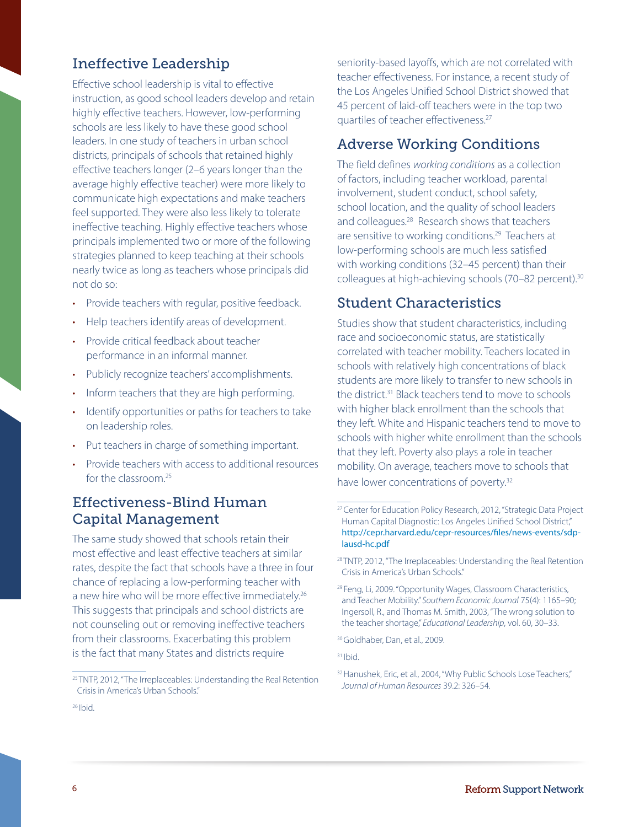#### Ineffective Leadership

Effective school leadership is vital to effective instruction, as good school leaders develop and retain highly effective teachers. However, low-performing schools are less likely to have these good school leaders. In one study of teachers in urban school districts, principals of schools that retained highly effective teachers longer (2–6 years longer than the average highly effective teacher) were more likely to communicate high expectations and make teachers feel supported. They were also less likely to tolerate ineffective teaching. Highly effective teachers whose principals implemented two or more of the following strategies planned to keep teaching at their schools nearly twice as long as teachers whose principals did not do so:

- Provide teachers with regular, positive feedback.
- Help teachers identify areas of development.
- Provide critical feedback about teacher performance in an informal manner.
- Publicly recognize teachers' accomplishments.
- Inform teachers that they are high performing.
- Identify opportunities or paths for teachers to take on leadership roles.
- Put teachers in charge of something important.
- Provide teachers with access to additional resources for the classroom<sup>25</sup>

#### Effectiveness-Blind Human Capital Management

The same study showed that schools retain their most effective and least effective teachers at similar rates, despite the fact that schools have a three in four chance of replacing a low-performing teacher with a new hire who will be more effective immediately.<sup>26</sup> This suggests that principals and school districts are not counseling out or removing ineffective teachers from their classrooms. Exacerbating this problem is the fact that many States and districts require

seniority-based layoffs, which are not correlated with teacher effectiveness. For instance, a recent study of the Los Angeles Unified School District showed that 45 percent of laid-off teachers were in the top two quartiles of teacher effectiveness.27

#### Adverse Working Conditions

are sensitive to working conditions.<sup>29</sup> Teachers at The field defines working conditions as a collection of factors, including teacher workload, parental involvement, student conduct, school safety, school location, and the quality of school leaders and colleagues.28 Research shows that teachers low-performing schools are much less satisfied with working conditions (32–45 percent) than their colleagues at high-achieving schools (70–82 percent).<sup>30</sup>

#### Student Characteristics

Studies show that student characteristics, including race and socioeconomic status, are statistically correlated with teacher mobility. Teachers located in schools with relatively high concentrations of black students are more likely to transfer to new schools in the district.31 Black teachers tend to move to schools with higher black enrollment than the schools that they left. White and Hispanic teachers tend to move to schools with higher white enrollment than the schools that they left. Poverty also plays a role in teacher mobility. On average, teachers move to schools that have lower concentrations of poverty.<sup>32</sup>

 $26$  Ibid.

<sup>&</sup>lt;sup>25</sup> TNTP, 2012, "The Irreplaceables: Understanding the Real Retention Crisis in America's Urban Schools."

<sup>&</sup>lt;sup>27</sup> Center for Education Policy Research, 2012, "Strategic Data Project Human Capital Diagnostic: Los Angeles Unified School District," [http://cepr.harvard.edu/cepr-resources/files/news-events/sdp](http://cepr.harvard.edu/cepr-resources/files/news-events/sdp-lausd-hc.pdf)[lausd-hc.pdf](http://cepr.harvard.edu/cepr-resources/files/news-events/sdp-lausd-hc.pdf) 

<sup>&</sup>lt;sup>28</sup> TNTP, 2012, "The Irreplaceables: Understanding the Real Retention Crisis in America's Urban Schools."

<sup>&</sup>lt;sup>29</sup> Feng, Li, 2009. "Opportunity Wages, Classroom Characteristics, and Teacher Mobility." Southern Economic Journal 75(4): 1165–90; Ingersoll, R., and Thomas M. Smith, 2003, "The wrong solution to the teacher shortage," Educational Leadership, vol. 60, 30-33.

<sup>30</sup> Goldhaber, Dan, et al., 2009.

 $31$  Ibid.

<sup>32</sup> Hanushek, Eric, et al., 2004, "Why Public Schools Lose Teachers," Journal of Human Resources 39.2: 326–54.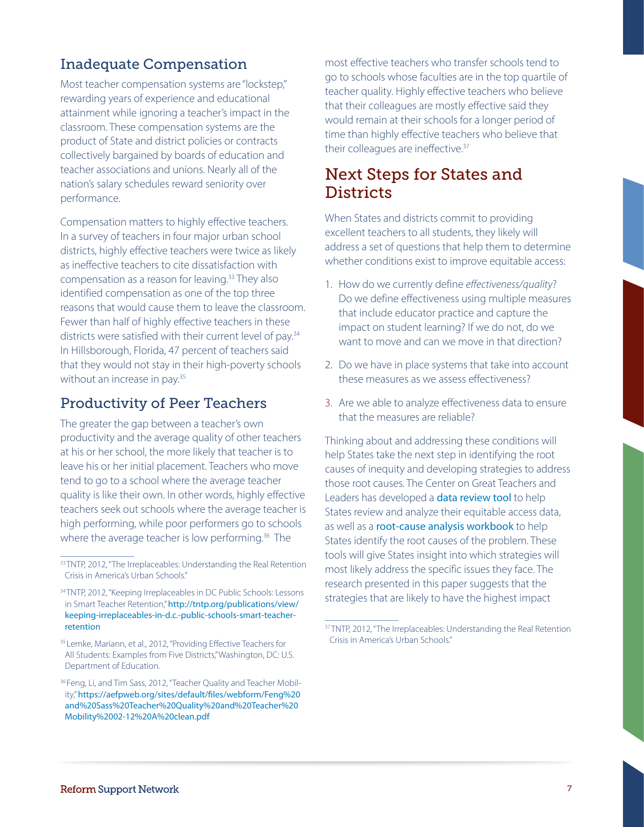### Inadequate Compensation

Most teacher compensation systems are "lockstep," rewarding years of experience and educational attainment while ignoring a teacher's impact in the classroom. These compensation systems are the product of State and district policies or contracts collectively bargained by boards of education and teacher associations and unions. Nearly all of the nation's salary schedules reward seniority over performance.

Compensation matters to highly effective teachers. In a survey of teachers in four major urban school districts, highly effective teachers were twice as likely as ineffective teachers to cite dissatisfaction with compensation as a reason for leaving.33 They also identified compensation as one of the top three reasons that would cause them to leave the classroom. Fewer than half of highly effective teachers in these districts were satisfied with their current level of pay.<sup>34</sup> In Hillsborough, Florida, 47 percent of teachers said that they would not stay in their high-poverty schools without an increase in pay.<sup>35</sup>

#### Productivity of Peer Teachers

The greater the gap between a teacher's own productivity and the average quality of other teachers at his or her school, the more likely that teacher is to leave his or her initial placement. Teachers who move tend to go to a school where the average teacher quality is like their own. In other words, highly effective teachers seek out schools where the average teacher is high performing, while poor performers go to schools where the average teacher is low performing.<sup>36</sup> The

most effective teachers who transfer schools tend to go to schools whose faculties are in the top quartile of teacher quality. Highly effective teachers who believe that their colleagues are mostly effective said they would remain at their schools for a longer period of time than highly effective teachers who believe that their colleagues are ineffective.<sup>37</sup>

### Next Steps for States and **Districts**

When States and districts commit to providing excellent teachers to all students, they likely will address a set of questions that help them to determine whether conditions exist to improve equitable access:

- 1. How do we currently define effectiveness/quality? Do we define effectiveness using multiple measures that include educator practice and capture the impact on student learning? If we do not, do we want to move and can we move in that direction?
- 2. Do we have in place systems that take into account these measures as we assess effectiveness?
- 3. Are we able to analyze effectiveness data to ensure that the measures are reliable?

Thinking about and addressing these conditions will help States take the next step in identifying the root causes of inequity and developing strategies to address those root causes. The Center on Great Teachers and Leaders has developed a **[data review tool](http://www.gtlcenter.org/learning-hub/equitable-access-toolkit/data-review-tool)** to help States review and analyze their equitable access data, as well as a **[root-cause analysis workbook](http://www.gtlcenter.org/learning-hub/equitable-access-toolkit/root-cause-analysis-workbook)** to help States identify the root causes of the problem. These tools will give States insight into which strategies will most likely address the specific issues they face. The research presented in this paper suggests that the strategies that are likely to have the highest impact

<sup>33</sup> TNTP, 2012, "The Irreplaceables: Understanding the Real Retention Crisis in America's Urban Schools."

<sup>&</sup>lt;sup>34</sup> TNTP, 2012, "Keeping Irreplaceables in DC Public Schools: Lessons in Smart Teacher Retention," [http://tntp.org/publications/view/](http://tntp.org/publications/view/keeping-irreplaceables-in-d.c.-public-schools-smart-teacher-retention) [keeping-irreplaceables-in-d.c.-public-schools-smart-teacher](http://tntp.org/publications/view/keeping-irreplaceables-in-d.c.-public-schools-smart-teacher-retention)[retention](http://tntp.org/publications/view/keeping-irreplaceables-in-d.c.-public-schools-smart-teacher-retention)

<sup>&</sup>lt;sup>35</sup> Lemke, Mariann, et al., 2012, "Providing Effective Teachers for All Students: Examples from Five Districts,"Washington, DC: U.S. Department of Education.

<sup>&</sup>lt;sup>36</sup> Feng, Li, and Tim Sass, 2012, "Teacher Quality and Teacher Mobility," [https://aefpweb.org/sites/default/files/webform/Feng%20](https://aefpweb.org/sites/default/files/webform/Feng%20and%20Sass%20Teacher%20Quality%20and%20Teacher%20Mobility%2002-12%20A%20clean.pdf)  [and%20Sass%20Teacher%20Quality%20and%20Teacher%20](https://aefpweb.org/sites/default/files/webform/Feng%20and%20Sass%20Teacher%20Quality%20and%20Teacher%20Mobility%2002-12%20A%20clean.pdf)  [Mobility%2002-12%20A%20clean.pdf](https://aefpweb.org/sites/default/files/webform/Feng%20and%20Sass%20Teacher%20Quality%20and%20Teacher%20Mobility%2002-12%20A%20clean.pdf) 

<sup>&</sup>lt;sup>37</sup> TNTP, 2012, "The Irreplaceables: Understanding the Real Retention Crisis in America's Urban Schools."